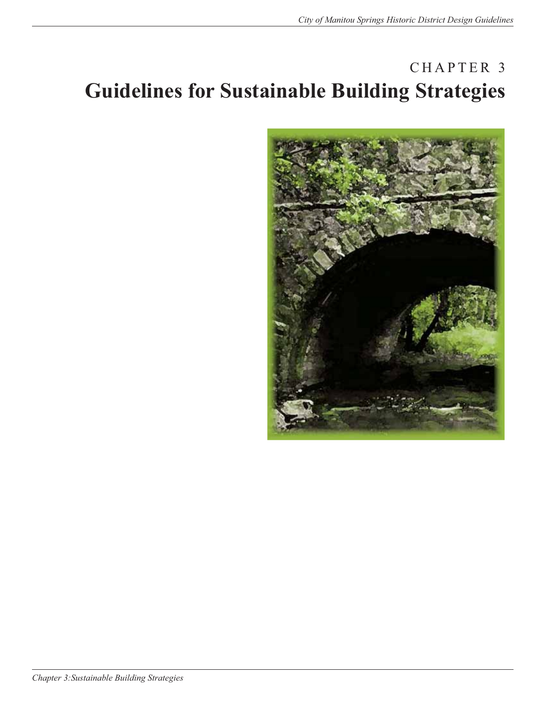# CHAPTER 3 **Guidelines for Sustainable Building Strategies**

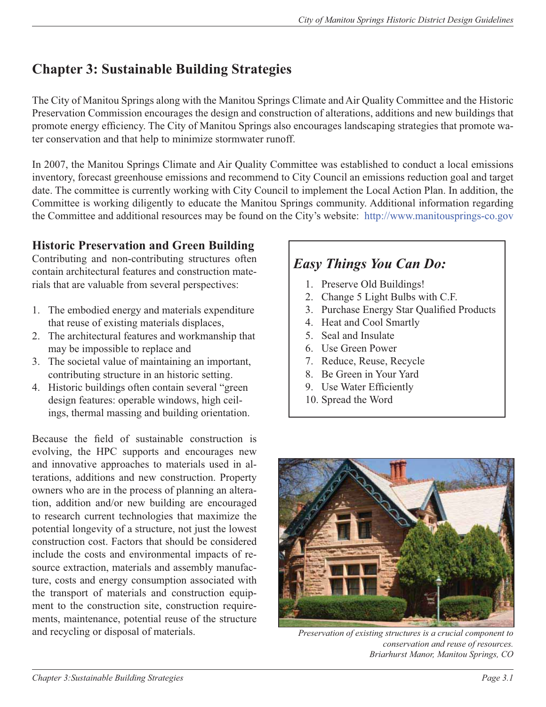## **Chapter 3: Sustainable Building Strategies**

The City of Manitou Springs along with the Manitou Springs Climate and Air Quality Committee and the Historic Preservation Commission encourages the design and construction of alterations, additions and new buildings that promote energy efficiency. The City of Manitou Springs also encourages landscaping strategies that promote water conservation and that help to minimize stormwater runoff.

In 2007, the Manitou Springs Climate and Air Quality Committee was established to conduct a local emissions inventory, forecast greenhouse emissions and recommend to City Council an emissions reduction goal and target date. The committee is currently working with City Council to implement the Local Action Plan. In addition, the Committee is working diligently to educate the Manitou Springs community. Additional information regarding the Committee and additional resources may be found on the City's website: http://www.manitousprings-co.gov

## **Historic Preservation and Green Building**

Contributing and non-contributing structures often contain architectural features and construction materials that are valuable from several perspectives:

- 1. The embodied energy and materials expenditure that reuse of existing materials displaces,
- 2. The architectural features and workmanship that may be impossible to replace and
- 3. The societal value of maintaining an important, contributing structure in an historic setting.
- 4. Historic buildings often contain several "green design features: operable windows, high ceilings, thermal massing and building orientation.

Because the field of sustainable construction is evolving, the HPC supports and encourages new and innovative approaches to materials used in alterations, additions and new construction. Property owners who are in the process of planning an alteration, addition and/or new building are encouraged to research current technologies that maximize the potential longevity of a structure, not just the lowest construction cost. Factors that should be considered include the costs and environmental impacts of resource extraction, materials and assembly manufacture, costs and energy consumption associated with the transport of materials and construction equipment to the construction site, construction requirements, maintenance, potential reuse of the structure and recycling or disposal of materials. *Preservation of existing structures is a crucial component to* 

## *Easy Things You Can Do:*

- 1. Preserve Old Buildings!
- 2. Change 5 Light Bulbs with C.F.
- 3. Purchase Energy Star Qualified Products
- 4. Heat and Cool Smartly
- 5. Seal and Insulate
- 6. Use Green Power
- 7. Reduce, Reuse, Recycle
- 8. Be Green in Your Yard
- 9. Use Water Efficiently
- 10. Spread the Word



*conservation and reuse of resources. Briarhurst Manor, Manitou Springs, CO*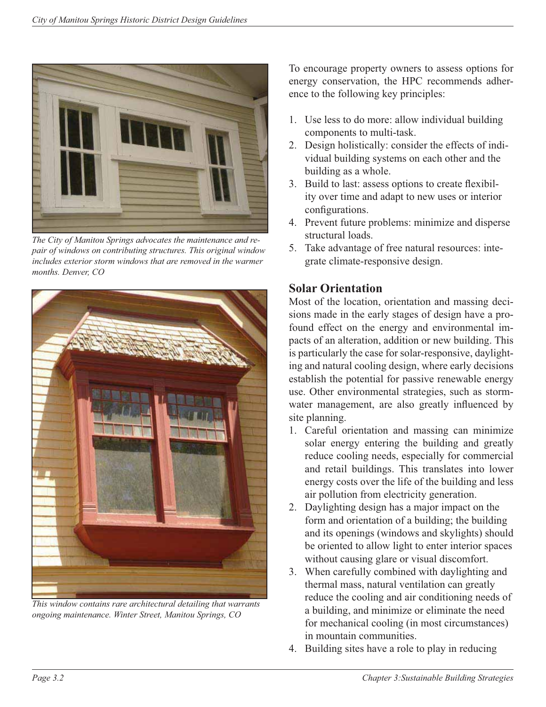

*The City of Manitou Springs advocates the maintenance and repair of windows on contributing structures. This original window includes exterior storm windows that are removed in the warmer months. Denver, CO*



*This window contains rare architectural detailing that warrants ongoing maintenance. Winter Street, Manitou Springs, CO*

To encourage property owners to assess options for energy conservation, the HPC recommends adherence to the following key principles:

- 1. Use less to do more: allow individual building components to multi-task.
- 2. Design holistically: consider the effects of individual building systems on each other and the building as a whole.
- 3. Build to last: assess options to create flexibility over time and adapt to new uses or interior configurations.
- 4. Prevent future problems: minimize and disperse structural loads.
- 5. Take advantage of free natural resources: integrate climate-responsive design.

## **Solar Orientation**

Most of the location, orientation and massing decisions made in the early stages of design have a profound effect on the energy and environmental impacts of an alteration, addition or new building. This is particularly the case for solar-responsive, daylighting and natural cooling design, where early decisions establish the potential for passive renewable energy use. Other environmental strategies, such as stormwater management, are also greatly influenced by site planning.

- 1. Careful orientation and massing can minimize solar energy entering the building and greatly reduce cooling needs, especially for commercial and retail buildings. This translates into lower energy costs over the life of the building and less air pollution from electricity generation.
- 2. Daylighting design has a major impact on the form and orientation of a building; the building and its openings (windows and skylights) should be oriented to allow light to enter interior spaces without causing glare or visual discomfort.
- 3. When carefully combined with daylighting and thermal mass, natural ventilation can greatly reduce the cooling and air conditioning needs of a building, and minimize or eliminate the need for mechanical cooling (in most circumstances) in mountain communities.
- 4. Building sites have a role to play in reducing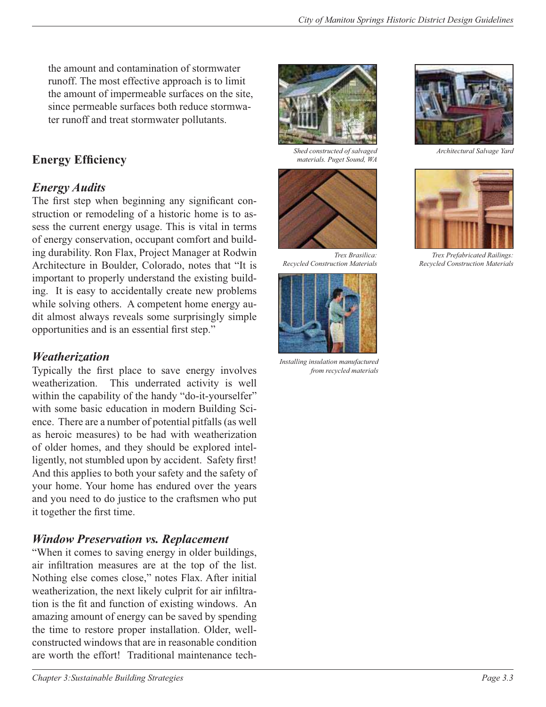the amount and contamination of stormwater runoff. The most effective approach is to limit the amount of impermeable surfaces on the site, since permeable surfaces both reduce stormwater runoff and treat stormwater pollutants.

## **Energy Efficiency**

## *Energy Audits*

The first step when beginning any significant construction or remodeling of a historic home is to assess the current energy usage. This is vital in terms of energy conservation, occupant comfort and building durability. Ron Flax, Project Manager at Rodwin Architecture in Boulder, Colorado, notes that "It is important to properly understand the existing building. It is easy to accidentally create new problems while solving others. A competent home energy audit almost always reveals some surprisingly simple opportunities and is an essential first step."

## *Weatherization*

Typically the first place to save energy involves weatherization. This underrated activity is well within the capability of the handy "do-it-yourselfer" with some basic education in modern Building Science. There are a number of potential pitfalls (as well as heroic measures) to be had with weatherization of older homes, and they should be explored intelligently, not stumbled upon by accident. Safety first! And this applies to both your safety and the safety of your home. Your home has endured over the years and you need to do justice to the craftsmen who put it together the first time.

## *Window Preservation vs. Replacement*

"When it comes to saving energy in older buildings, air infiltration measures are at the top of the list. Nothing else comes close," notes Flax. After initial weatherization, the next likely culprit for air infiltration is the fit and function of existing windows. An amazing amount of energy can be saved by spending the time to restore proper installation. Older, wellconstructed windows that are in reasonable condition are worth the effort! Traditional maintenance tech-



*Shed constructed of salvaged materials. Puget Sound, WA*



*Trex Brasilica: Recycled Construction Materials*



*Installing insulation manufactured from recycled materials*



*Architectural Salvage Yard*



*Trex Prefabricated Railings: Recycled Construction Materials*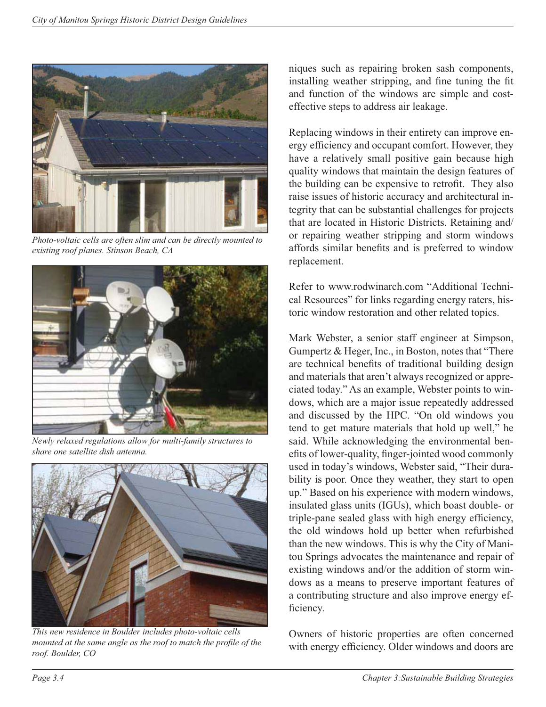

*Photo-voltaic cells are often slim and can be directly mounted to existing roof planes. Stinson Beach, CA*



*Newly relaxed regulations allow for multi-family structures to share one satellite dish antenna.*



*This new residence in Boulder includes photo-voltaic cells mounted at the same angle as the roof to match the profile of the roof. Boulder, CO*

niques such as repairing broken sash components, installing weather stripping, and fine tuning the fit and function of the windows are simple and costeffective steps to address air leakage.

Replacing windows in their entirety can improve energy efficiency and occupant comfort. However, they have a relatively small positive gain because high quality windows that maintain the design features of the building can be expensive to retrofit. They also raise issues of historic accuracy and architectural integrity that can be substantial challenges for projects that are located in Historic Districts. Retaining and/ or repairing weather stripping and storm windows affords similar benefits and is preferred to window replacement.

Refer to www.rodwinarch.com "Additional Technical Resources" for links regarding energy raters, historic window restoration and other related topics.

Mark Webster, a senior staff engineer at Simpson, Gumpertz & Heger, Inc., in Boston, notes that "There are technical benefits of traditional building design and materials that aren't always recognized or appreciated today." As an example, Webster points to windows, which are a major issue repeatedly addressed and discussed by the HPC. "On old windows you tend to get mature materials that hold up well," he said. While acknowledging the environmental benefits of lower-quality, finger-jointed wood commonly used in today's windows, Webster said, "Their durability is poor. Once they weather, they start to open up." Based on his experience with modern windows, insulated glass units (IGUs), which boast double- or triple-pane sealed glass with high energy efficiency, the old windows hold up better when refurbished than the new windows. This is why the City of Manitou Springs advocates the maintenance and repair of existing windows and/or the addition of storm windows as a means to preserve important features of a contributing structure and also improve energy efficiency.

Owners of historic properties are often concerned with energy efficiency. Older windows and doors are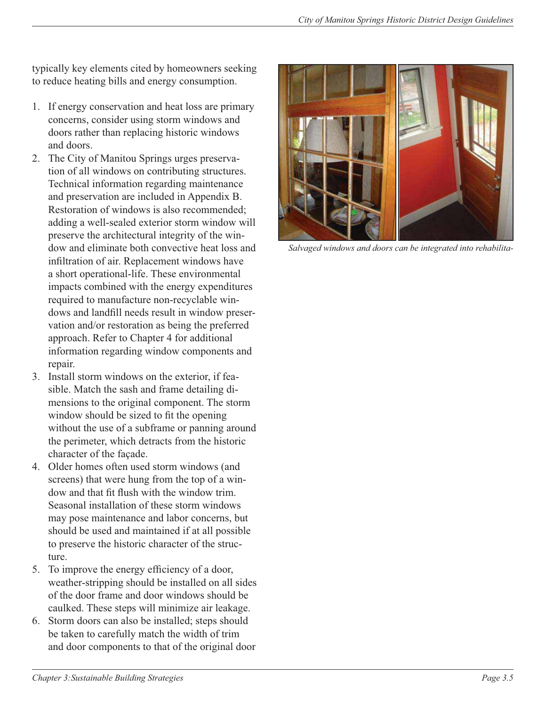typically key elements cited by homeowners seeking to reduce heating bills and energy consumption.

- 1. If energy conservation and heat loss are primary concerns, consider using storm windows and doors rather than replacing historic windows and doors.
- 2. The City of Manitou Springs urges preservation of all windows on contributing structures. Technical information regarding maintenance and preservation are included in Appendix B. Restoration of windows is also recommended; adding a well-sealed exterior storm window will preserve the architectural integrity of the window and eliminate both convective heat loss and infiltration of air. Replacement windows have a short operational-life. These environmental impacts combined with the energy expenditures required to manufacture non-recyclable windows and landfill needs result in window preservation and/or restoration as being the preferred approach. Refer to Chapter 4 for additional information regarding window components and repair.
- 3. Install storm windows on the exterior, if feasible. Match the sash and frame detailing dimensions to the original component. The storm window should be sized to fit the opening without the use of a subframe or panning around the perimeter, which detracts from the historic character of the façade.
- 4. Older homes often used storm windows (and screens) that were hung from the top of a window and that fit flush with the window trim. Seasonal installation of these storm windows may pose maintenance and labor concerns, but should be used and maintained if at all possible to preserve the historic character of the structure.
- 5. To improve the energy efficiency of a door, weather-stripping should be installed on all sides of the door frame and door windows should be caulked. These steps will minimize air leakage.
- 6. Storm doors can also be installed; steps should be taken to carefully match the width of trim and door components to that of the original door



*Salvaged windows and doors can be integrated into rehabilita-*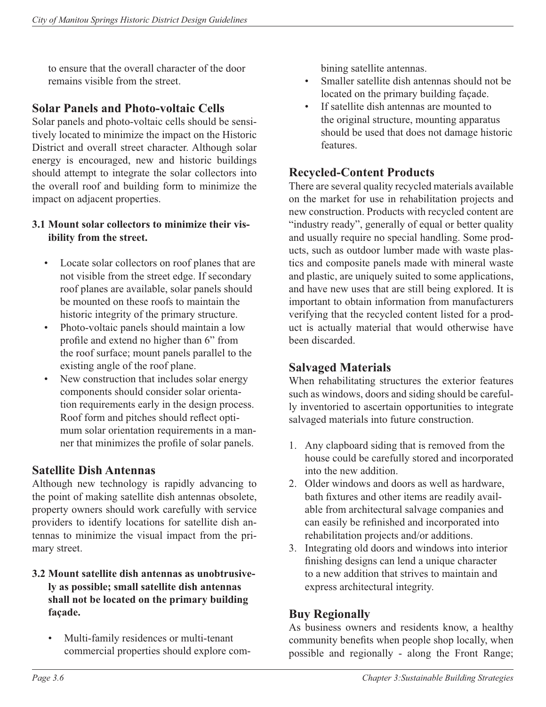to ensure that the overall character of the door remains visible from the street.

### **Solar Panels and Photo-voltaic Cells**

Solar panels and photo-voltaic cells should be sensitively located to minimize the impact on the Historic District and overall street character. Although solar energy is encouraged, new and historic buildings should attempt to integrate the solar collectors into the overall roof and building form to minimize the impact on adjacent properties.

#### **3.1 Mount solar collectors to minimize their visibility from the street.**

- Locate solar collectors on roof planes that are not visible from the street edge. If secondary roof planes are available, solar panels should be mounted on these roofs to maintain the historic integrity of the primary structure.
- Photo-voltaic panels should maintain a low profile and extend no higher than 6" from the roof surface; mount panels parallel to the existing angle of the roof plane.
- New construction that includes solar energy components should consider solar orientation requirements early in the design process. Roof form and pitches should reflect optimum solar orientation requirements in a manner that minimizes the profile of solar panels.

#### **Satellite Dish Antennas**

Although new technology is rapidly advancing to the point of making satellite dish antennas obsolete, property owners should work carefully with service providers to identify locations for satellite dish antennas to minimize the visual impact from the primary street.

#### **3.2 Mount satellite dish antennas as unobtrusively as possible; small satellite dish antennas shall not be located on the primary building façade.**

• Multi-family residences or multi-tenant commercial properties should explore combining satellite antennas.

- Smaller satellite dish antennas should not be located on the primary building façade.
- If satellite dish antennas are mounted to the original structure, mounting apparatus should be used that does not damage historic features.

## **Recycled-Content Products**

There are several quality recycled materials available on the market for use in rehabilitation projects and new construction. Products with recycled content are "industry ready", generally of equal or better quality and usually require no special handling. Some products, such as outdoor lumber made with waste plastics and composite panels made with mineral waste and plastic, are uniquely suited to some applications, and have new uses that are still being explored. It is important to obtain information from manufacturers verifying that the recycled content listed for a product is actually material that would otherwise have been discarded.

## **Salvaged Materials**

When rehabilitating structures the exterior features such as windows, doors and siding should be carefully inventoried to ascertain opportunities to integrate salvaged materials into future construction.

- 1. Any clapboard siding that is removed from the house could be carefully stored and incorporated into the new addition.
- 2. Older windows and doors as well as hardware, bath fixtures and other items are readily available from architectural salvage companies and can easily be refinished and incorporated into rehabilitation projects and/or additions.
- 3. Integrating old doors and windows into interior finishing designs can lend a unique character to a new addition that strives to maintain and express architectural integrity.

## **Buy Regionally**

As business owners and residents know, a healthy community benefits when people shop locally, when possible and regionally - along the Front Range;